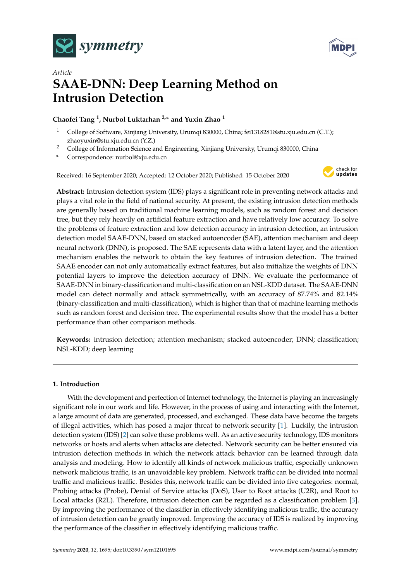



# *Article* **SAAE-DNN: Deep Learning Method on Intrusion Detection**

# **Chaofei Tang <sup>1</sup> , Nurbol Luktarhan 2,\* and Yuxin Zhao <sup>1</sup>**

- <sup>1</sup> College of Software, Xinjiang University, Urumqi 830000, China; fei1318281@stu.xju.edu.cn (C.T.); zhaoyuxin@stu.xju.edu.cn (Y.Z.)
- <sup>2</sup> College of Information Science and Engineering, Xinjiang University, Urumqi 830000, China
- **\*** Correspondence: nurbol@xju.edu.cn

Received: 16 September 2020; Accepted: 12 October 2020; Published: 15 October 2020



**Abstract:** Intrusion detection system (IDS) plays a significant role in preventing network attacks and plays a vital role in the field of national security. At present, the existing intrusion detection methods are generally based on traditional machine learning models, such as random forest and decision tree, but they rely heavily on artificial feature extraction and have relatively low accuracy. To solve the problems of feature extraction and low detection accuracy in intrusion detection, an intrusion detection model SAAE-DNN, based on stacked autoencoder (SAE), attention mechanism and deep neural network (DNN), is proposed. The SAE represents data with a latent layer, and the attention mechanism enables the network to obtain the key features of intrusion detection. The trained SAAE encoder can not only automatically extract features, but also initialize the weights of DNN potential layers to improve the detection accuracy of DNN. We evaluate the performance of SAAE-DNN in binary-classification and multi-classification on an NSL-KDD dataset. The SAAE-DNN model can detect normally and attack symmetrically, with an accuracy of 87.74% and 82.14% (binary-classification and multi-classification), which is higher than that of machine learning methods such as random forest and decision tree. The experimental results show that the model has a better performance than other comparison methods.

**Keywords:** intrusion detection; attention mechanism; stacked autoencoder; DNN; classification; NSL-KDD; deep learning

# **1. Introduction**

With the development and perfection of Internet technology, the Internet is playing an increasingly significant role in our work and life. However, in the process of using and interacting with the Internet, a large amount of data are generated, processed, and exchanged. These data have become the targets of illegal activities, which has posed a major threat to network security [\[1\]](#page-17-0). Luckily, the intrusion detection system (IDS) [\[2\]](#page-17-1) can solve these problems well. As an active security technology, IDS monitors networks or hosts and alerts when attacks are detected. Network security can be better ensured via intrusion detection methods in which the network attack behavior can be learned through data analysis and modeling. How to identify all kinds of network malicious traffic, especially unknown network malicious traffic, is an unavoidable key problem. Network traffic can be divided into normal traffic and malicious traffic. Besides this, network traffic can be divided into five categories: normal, Probing attacks (Probe), Denial of Service attacks (DoS), User to Root attacks (U2R), and Root to Local attacks (R2L). Therefore, intrusion detection can be regarded as a classification problem [\[3\]](#page-17-2). By improving the performance of the classifier in effectively identifying malicious traffic, the accuracy of intrusion detection can be greatly improved. Improving the accuracy of IDS is realized by improving the performance of the classifier in effectively identifying malicious traffic.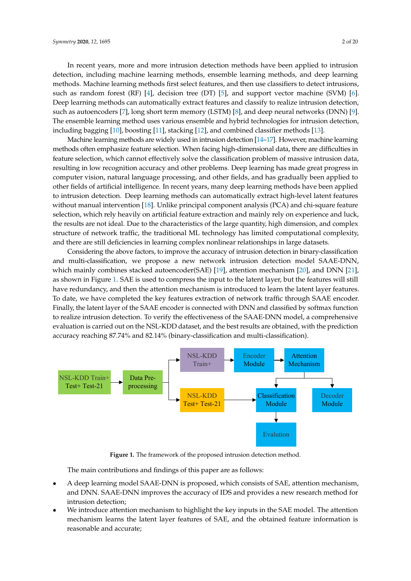In recent years, more and more intrusion detection methods have been applied to intrusion detection, including machine learning methods, ensemble learning methods, and deep learning methods. Machine learning methods first select features, and then use classifiers to detect intrusions, such as random forest (RF)  $[4]$ , decision tree (DT)  $[5]$ , and support vector machine (SVM)  $[6]$ . Deep learning methods can automatically extract features and classify to realize intrusion detection, such as autoencoders [\[7\]](#page-17-6), long short term memory (LSTM) [\[8\]](#page-17-7), and deep neural networks (DNN) [\[9\]](#page-17-8). The ensemble learning method uses various ensemble and hybrid technologies for intrusion detection, including bagging [\[10\]](#page-17-9), boosting [\[11\]](#page-17-10), stacking [\[12\]](#page-17-11), and combined classifier methods [\[13\]](#page-17-12).

Machine learning methods are widely used in intrusion detection [\[14–](#page-17-13)[17\]](#page-18-0). However, machine learning methods often emphasize feature selection. When facing high-dimensional data, there are difficulties in feature selection, which cannot effectively solve the classification problem of massive intrusion data, resulting in low recognition accuracy and other problems. Deep learning has made great progress in computer vision, natural language processing, and other fields, and has gradually been applied to other fields of artificial intelligence. In recent years, many deep learning methods have been applied to intrusion detection. Deep learning methods can automatically extract high-level latent features without manual intervention [\[18\]](#page-18-1). Unlike principal component analysis (PCA) and chi-square feature selection, which rely heavily on artificial feature extraction and mainly rely on experience and luck, the results are not ideal. Due to the characteristics of the large quantity, high dimension, and complex structure of network traffic, the traditional ML technology has limited computational complexity, and there are still deficiencies in learning complex nonlinear relationships in large datasets.

Considering the above factors, to improve the accuracy of intrusion detection in binary-classification and multi-classification, we propose a new network intrusion detection model SAAE-DNN, which mainly combines stacked autoencoder(SAE) [\[19\]](#page-18-2), attention mechanism [\[20\]](#page-18-3), and DNN [\[21\]](#page-18-4), as shown in Figure [1.](#page-1-0) SAE is used to compress the input to the latent layer, but the features will still have redundancy, and then the attention mechanism is introduced to learn the latent layer features. To date, we have completed the key features extraction of network traffic through SAAE encoder. Finally, the latent layer of the SAAE encoder is connected with DNN and classified by softmax function to realize intrusion detection. To verify the effectiveness of the SAAE-DNN model, a comprehensive evaluation is carried out on the NSL-KDD dataset, and the best results are obtained, with the prediction accuracy reaching 87.74% and 82.14% (binary-classification and multi-classification).

<span id="page-1-0"></span>

**Figure 1.** The framework of the proposed intrusion detection method.

The main contributions and findings of this paper are as follows:

- A deep learning model SAAE-DNN is proposed, which consists of SAE, attention mechanism, and DNN. SAAE-DNN improves the accuracy of IDS and provides a new research method for intrusion detection;
- We introduce attention mechanism to highlight the key inputs in the SAE model. The attention mechanism learns the latent layer features of SAE, and the obtained feature information is reasonable and accurate;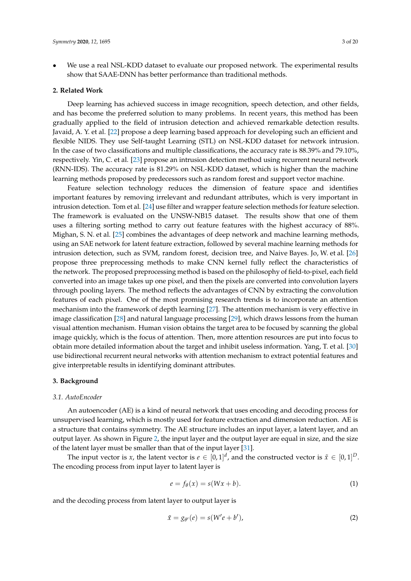- 
- We use a real NSL-KDD dataset to evaluate our proposed network. The experimental results show that SAAE-DNN has better performance than traditional methods.

#### **2. Related Work**

Deep learning has achieved success in image recognition, speech detection, and other fields, and has become the preferred solution to many problems. In recent years, this method has been gradually applied to the field of intrusion detection and achieved remarkable detection results. Javaid, A. Y. et al. [\[22\]](#page-18-5) propose a deep learning based approach for developing such an efficient and flexible NIDS. They use Self-taught Learning (STL) on NSL-KDD dataset for network intrusion. In the case of two classifications and multiple classifications, the accuracy rate is 88.39% and 79.10%, respectively. Yin, C. et al. [\[23\]](#page-18-6) propose an intrusion detection method using recurrent neural network (RNN-IDS). The accuracy rate is 81.29% on NSL-KDD dataset, which is higher than the machine learning methods proposed by predecessors such as random forest and support vector machine.

Feature selection technology reduces the dimension of feature space and identifies important features by removing irrelevant and redundant attributes, which is very important in intrusion detection. Tom et al. [\[24\]](#page-18-7) use filter and wrapper feature selection methods for feature selection. The framework is evaluated on the UNSW-NB15 dataset. The results show that one of them uses a filtering sorting method to carry out feature features with the highest accuracy of 88%. Mighan, S. N. et al. [\[25\]](#page-18-8) combines the advantages of deep network and machine learning methods, using an SAE network for latent feature extraction, followed by several machine learning methods for intrusion detection, such as SVM, random forest, decision tree, and Naive Bayes. Jo, W. et al. [\[26\]](#page-18-9) propose three preprocessing methods to make CNN kernel fully reflect the characteristics of the network. The proposed preprocessing method is based on the philosophy of field-to-pixel, each field converted into an image takes up one pixel, and then the pixels are converted into convolution layers through pooling layers. The method reflects the advantages of CNN by extracting the convolution features of each pixel. One of the most promising research trends is to incorporate an attention mechanism into the framework of depth learning [\[27\]](#page-18-10). The attention mechanism is very effective in image classification [\[28\]](#page-18-11) and natural language processing [\[29\]](#page-18-12), which draws lessons from the human visual attention mechanism. Human vision obtains the target area to be focused by scanning the global image quickly, which is the focus of attention. Then, more attention resources are put into focus to obtain more detailed information about the target and inhibit useless information. Yang, T. et al. [\[30\]](#page-18-13) use bidirectional recurrent neural networks with attention mechanism to extract potential features and give interpretable results in identifying dominant attributes.

#### **3. Background**

#### *3.1. AutoEncoder*

An autoencoder (AE) is a kind of neural network that uses encoding and decoding process for unsupervised learning, which is mostly used for feature extraction and dimension reduction. AE is a structure that contains symmetry. The AE structure includes an input layer, a latent layer, and an output layer. As shown in Figure [2,](#page-3-0) the input layer and the output layer are equal in size, and the size of the latent layer must be smaller than that of the input layer [\[31\]](#page-18-14).

The input vector is *x*, the latent vector is  $e \in [0,1]^d$ , and the constructed vector is  $\tilde{x} \in [0,1]^D$ . The encoding process from input layer to latent layer is

$$
e = f_{\theta}(x) = s(Wx + b).
$$
 (1)

and the decoding process from latent layer to output layer is

$$
\tilde{x} = g_{\theta'}(e) = s(W'e + b'),\tag{2}
$$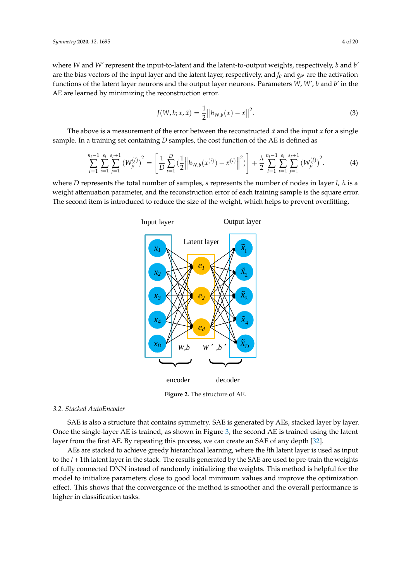where *W* and *W'* represent the input-to-latent and the latent-to-output weights, respectively, *b* and *b'* are the bias vectors of the input layer and the latent layer, respectively, and  $f_\theta$  and  $g_{\theta'}$  are the activation functions of the latent layer neurons and the output layer neurons. Parameters *W*, *W'*, *b* and *b'* in the AE are learned by minimizing the reconstruction error.

$$
J(W, b; x, \tilde{x}) = \frac{1}{2} ||h_{W, b}(x) - \tilde{x}||^{2}.
$$
 (3)

The above is a measurement of the error between the reconstructed  $\tilde{x}$  and the input  $x$  for a single sample. In a training set containing *D* samples, the cost function of the AE is defined as

<span id="page-3-1"></span>
$$
\sum_{l=1}^{n_l-1} \sum_{i=1}^{s_l} \sum_{j=1}^{s_l+1} \left( W_{ji}^{(l)} \right)^2 = \left[ \frac{1}{D} \sum_{i=1}^{D} \left( \frac{1}{2} \left\| h_{W,b}(x^{(i)}) - \tilde{x}^{(i)} \right\|^2 \right) \right] + \frac{\lambda}{2} \sum_{l=1}^{n_l-1} \sum_{i=1}^{s_l} \sum_{j=1}^{s_l+1} \left( W_{ji}^{(l)} \right)^2.
$$
 (4)

<span id="page-3-0"></span>where *D* represents the total number of samples, *s* represents the number of nodes in layer *l*, *λ* is a weight attenuation parameter, and the reconstruction error of each training sample is the square error. The second item is introduced to reduce the size of the weight, which helps to prevent overfitting.



**Figure 2.** The structure of AE.

# *3.2. Stacked AutoEncoder*

SAE is also a structure that contains symmetry. SAE is generated by AEs, stacked layer by layer. Once the single-layer AE is trained, as shown in Figure [3,](#page-4-0) the second AE is trained using the latent layer from the first AE. By repeating this process, we can create an SAE of any depth [\[32\]](#page-18-15).

AEs are stacked to achieve greedy hierarchical learning, where the *l*th latent layer is used as input to the *l* + 1th latent layer in the stack. The results generated by the SAE are used to pre-train the weights of fully connected DNN instead of randomly initializing the weights. This method is helpful for the model to initialize parameters close to good local minimum values and improve the optimization effect. This shows that the convergence of the method is smoother and the overall performance is higher in classification tasks.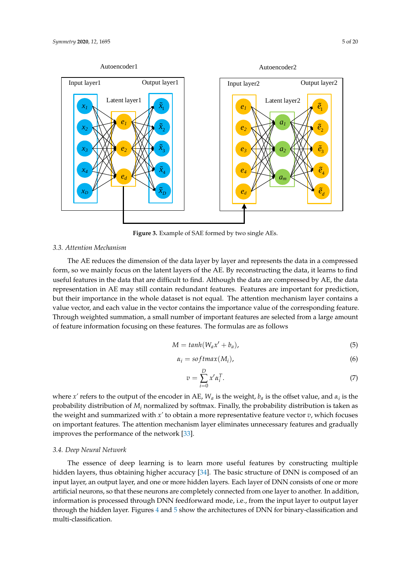<span id="page-4-0"></span>

**Figure 3.** Example of SAE formed by two single AEs.

#### *3.3. Attention Mechanism*

The AE reduces the dimension of the data layer by layer and represents the data in a compressed form, so we mainly focus on the latent layers of the AE. By reconstructing the data, it learns to find useful features in the data that are difficult to find. Although the data are compressed by AE, the data representation in AE may still contain redundant features. Features are important for prediction, but their importance in the whole dataset is not equal. The attention mechanism layer contains a value vector, and each value in the vector contains the importance value of the corresponding feature. Through weighted summation, a small number of important features are selected from a large amount of feature information focusing on these features. The formulas are as follows

$$
M = \tanh(W_a x' + b_a), \tag{5}
$$

$$
\alpha_i = softmax(M_i), \qquad (6)
$$

$$
v = \sum_{i=0}^{D} x^{\prime} \alpha_i^{T}.
$$
 (7)

where *x'* refers to the output of the encoder in AE, *W<sup>a</sup>* is the weight, *b<sup>a</sup>* is the offset value, and *α<sup>i</sup>* is the probability distribution of *M<sup>i</sup>* normalized by softmax. Finally, the probability distribution is taken as the weight and summarized with  $x'$  to obtain a more representative feature vector  $v$ , which focuses on important features. The attention mechanism layer eliminates unnecessary features and gradually improves the performance of the network [\[33\]](#page-18-16).

### *3.4. Deep Neural Network*

The essence of deep learning is to learn more useful features by constructing multiple hidden layers, thus obtaining higher accuracy [\[34\]](#page-18-17). The basic structure of DNN is composed of an input layer, an output layer, and one or more hidden layers. Each layer of DNN consists of one or more artificial neurons, so that these neurons are completely connected from one layer to another. In addition, information is processed through DNN feedforward mode, i.e., from the input layer to output layer through the hidden layer. Figures [4](#page-5-0) and [5](#page-5-1) show the architectures of DNN for binary-classification and multi-classification.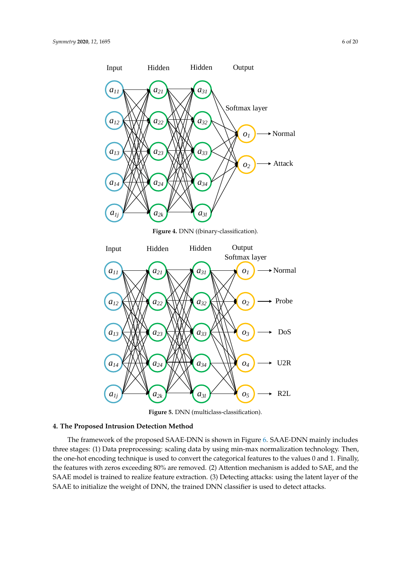<span id="page-5-0"></span>

**Figure 4.** DNN ((binary-classification).

<span id="page-5-1"></span>

**Figure 5.** DNN (multiclass-classification).

# **4. The Proposed Intrusion Detection Method**

The framework of the proposed SAAE-DNN is shown in Figure [6.](#page-6-0) SAAE-DNN mainly includes three stages: (1) Data preprocessing: scaling data by using min-max normalization technology. Then, the one-hot encoding technique is used to convert the categorical features to the values 0 and 1. Finally, the features with zeros exceeding 80% are removed. (2) Attention mechanism is added to SAE, and the SAAE model is trained to realize feature extraction. (3) Detecting attacks: using the latent layer of the SAAE to initialize the weight of DNN, the trained DNN classifier is used to detect attacks.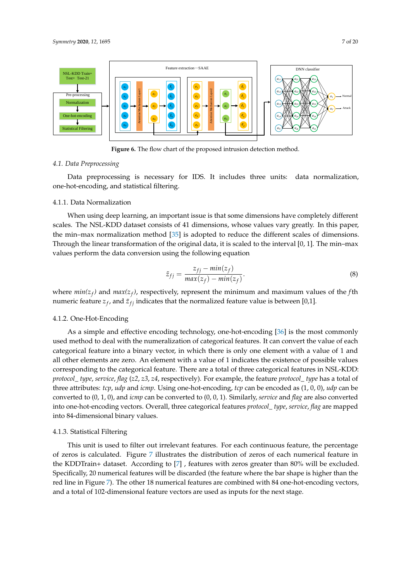

<span id="page-6-0"></span>

**Figure 6.** The flow chart of the proposed intrusion detection method.

#### *4.1. Data Preprocessing*

Data preprocessing is necessary for IDS. It includes three units: data normalization, one-hot-encoding, and statistical filtering.

#### 4.1.1. Data Normalization

When using deep learning, an important issue is that some dimensions have completely different scales. The NSL-KDD dataset consists of 41 dimensions, whose values vary greatly. In this paper, the min–max normalization method [\[35\]](#page-18-18) is adopted to reduce the different scales of dimensions. Through the linear transformation of the original data, it is scaled to the interval [0, 1]. The min–max values perform the data conversion using the following equation

$$
\tilde{z}_{fj} = \frac{z_{fj} - \min(z_f)}{\max(z_f) - \min(z_f)}.
$$
\n(8)

where *min(z<sup>f</sup> )* and *max(z<sup>f</sup> )*, respectively, represent the minimum and maximum values of the *f*th numeric feature  $z_f$ , and  $\tilde{z}_{fj}$  indicates that the normalized feature value is between [0,1].

#### 4.1.2. One-Hot-Encoding

As a simple and effective encoding technology, one-hot-encoding [\[36\]](#page-18-19) is the most commonly used method to deal with the numeralization of categorical features. It can convert the value of each categorical feature into a binary vector, in which there is only one element with a value of 1 and all other elements are zero. An element with a value of 1 indicates the existence of possible values corresponding to the categorical feature. There are a total of three categorical features in NSL-KDD: *protocol\_ type*, *service*, *flag* (*z2*, *z3*, *z4*, respectively). For example, the feature *protocol\_ type* has a total of three attributes: *tcp*, *udp* and *icmp*. Using one-hot-encoding, *tcp* can be encoded as (1, 0, 0), *udp* can be converted to (0, 1, 0), and *icmp* can be converted to (0, 0, 1). Similarly, *service* and *flag* are also converted into one-hot-encoding vectors. Overall, three categorical features *protocol\_ type*, *service*, *flag* are mapped into 84-dimensional binary values.

#### 4.1.3. Statistical Filtering

This unit is used to filter out irrelevant features. For each continuous feature, the percentage of zeros is calculated. Figure [7](#page-7-0) illustrates the distribution of zeros of each numerical feature in the KDDTrain+ dataset. According to [\[7\]](#page-17-6) , features with zeros greater than 80% will be excluded. Specifically, 20 numerical features will be discarded (the feature where the bar shape is higher than the red line in Figure [7\)](#page-7-0). The other 18 numerical features are combined with 84 one-hot-encoding vectors, and a total of 102-dimensional feature vectors are used as inputs for the next stage.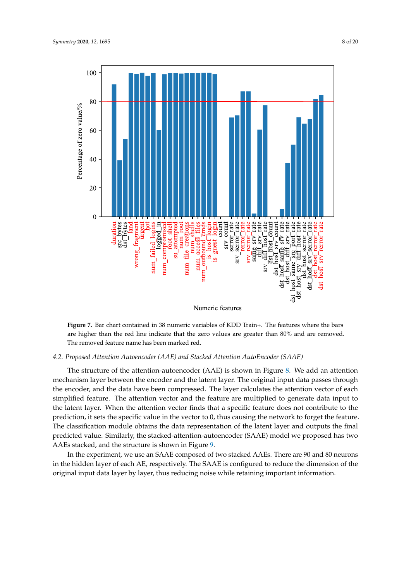<span id="page-7-0"></span>

**Figure 7.** Bar chart contained in 38 numeric variables of KDD Train+. The features where the bars are higher than the red line indicate that the zero values are greater than 80% and are removed. The removed feature name has been marked red.

### *4.2. Proposed Attention Autoencoder (AAE) and Stacked Attention AutoEncoder (SAAE)*

The structure of the attention-autoencoder (AAE) is shown in Figure [8.](#page-8-0) We add an attention mechanism layer between the encoder and the latent layer. The original input data passes through the encoder, and the data have been compressed. The layer calculates the attention vector of each simplified feature. The attention vector and the feature are multiplied to generate data input to the latent layer. When the attention vector finds that a specific feature does not contribute to the prediction, it sets the specific value in the vector to 0, thus causing the network to forget the feature. The classification module obtains the data representation of the latent layer and outputs the final predicted value. Similarly, the stacked-attention-autoencoder (SAAE) model we proposed has two AAEs stacked, and the structure is shown in Figure [9.](#page-8-1)

In the experiment, we use an SAAE composed of two stacked AAEs. There are 90 and 80 neurons in the hidden layer of each AE, respectively. The SAAE is configured to reduce the dimension of the original input data layer by layer, thus reducing noise while retaining important information.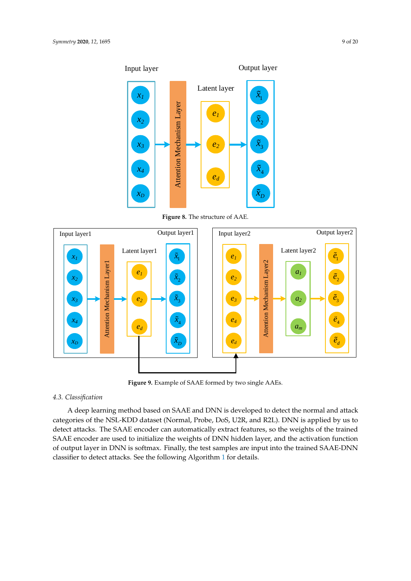<span id="page-8-0"></span>

**Figure 8.** The structure of AAE.

<span id="page-8-1"></span>

**Figure 9.** Example of SAAE formed by two single AAEs.

# *4.3. Classification*

A deep learning method based on SAAE and DNN is developed to detect the normal and attack categories of the NSL-KDD dataset (Normal, Probe, DoS, U2R, and R2L). DNN is applied by us to detect attacks. The SAAE encoder can automatically extract features, so the weights of the trained SAAE encoder are used to initialize the weights of DNN hidden layer, and the activation function of output layer in DNN is softmax. Finally, the test samples are input into the trained SAAE-DNN classifier to detect attacks. See the following Algorithm [1](#page-9-0) for details.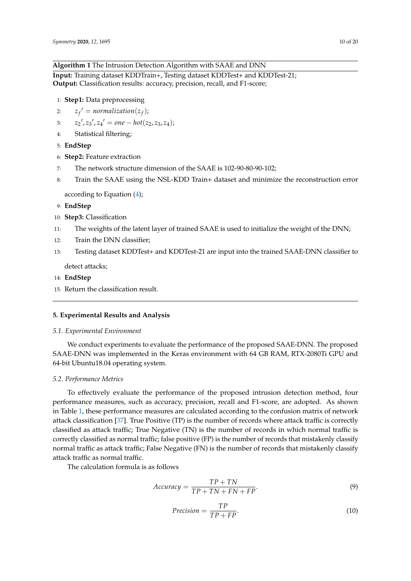#### <span id="page-9-0"></span>**Algorithm 1** The Intrusion Detection Algorithm with SAAE and DNN

**Input:** Training dataset KDDTrain+, Testing dataset KDDTest+ and KDDTest-21; **Output:** Classification results: accuracy, precision, recall, and F1-score;

- 1: **Step1:** Data preprocessing
- 2:  $z_f' = normalization(z_f);$
- 3:  $z_2', z_3', z_4' = one hot(z_2, z_3, z_4);$
- 4: Statistical filtering;
- 5: **EndStep**
- 6: **Step2:** Feature extraction
- 7: The network structure dimension of the SAAE is 102-90-80-90-102;
- 8: Train the SAAE using the NSL-KDD Train+ dataset and minimize the reconstruction error

according to Equation [\(4\)](#page-3-1);

# 9: **EndStep**

- 10: **Step3:** Classification
- 11: The weights of the latent layer of trained SAAE is used to initialize the weight of the DNN;
- 12: Train the DNN classifier;
- 13: Testing dataset KDDTest+ and KDDTest-21 are input into the trained SAAE-DNN classifier to

detect attacks;

# 14: **EndStep**

15: Return the classification result.

#### **5. Experimental Results and Analysis**

#### *5.1. Experimental Environment*

We conduct experiments to evaluate the performance of the proposed SAAE-DNN. The proposed SAAE-DNN was implemented in the Keras environment with 64 GB RAM, RTX-2080Ti GPU and 64-bit Ubuntu18.04 operating system.

#### *5.2. Performance Metrics*

To effectively evaluate the performance of the proposed intrusion detection method, four performance measures, such as accuracy, precision, recall and F1-score, are adopted. As shown in Table [1,](#page-10-0) these performance measures are calculated according to the confusion matrix of network attack classification [\[37\]](#page-18-20). True Positive (TP) is the number of records where attack traffic is correctly classified as attack traffic; True Negative (TN) is the number of records in which normal traffic is correctly classified as normal traffic; false positive (FP) is the number of records that mistakenly classify normal traffic as attack traffic; False Negative (FN) is the number of records that mistakenly classify attack traffic as normal traffic.

The calculation formula is as follows

$$
Accuracy = \frac{TP + TN}{TP + TN + FN + FP}.
$$
\n(9)

$$
Precision = \frac{TP}{TP + FP}.
$$
\n(10)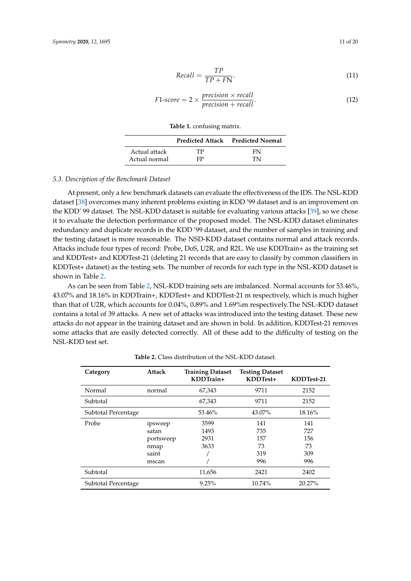$$
F1-score = 2 \times \frac{precision \times recall}{precision + recall}.
$$
 (12)

# **Table 1.** confusing matrix.

|               |    | <b>Predicted Attack Predicted Normal</b> |
|---------------|----|------------------------------------------|
| Actual attack | TР | FN                                       |
| Actual normal | FP | TN                                       |

#### <span id="page-10-0"></span>*5.3. Description of the Benchmark Dataset*

At present, only a few benchmark datasets can evaluate the effectiveness of the IDS. The NSL-KDD dataset [\[38\]](#page-19-0) overcomes many inherent problems existing in KDD '99 dataset and is an improvement on the KDD' 99 dataset. The NSL-KDD dataset is suitable for evaluating various attacks [\[39\]](#page-19-1), so we chose it to evaluate the detection performance of the proposed model. The NSL-KDD dataset eliminates redundancy and duplicate records in the KDD '99 dataset, and the number of samples in training and the testing dataset is more reasonable. The NSD-KDD dataset contains normal and attack records. Attacks include four types of record: Probe, DoS, U2R, and R2L. We use KDDTrain+ as the training set and KDDTest+ and KDDTest-21 (deleting 21 records that are easy to classify by common classifiers in KDDTest+ dataset) as the testing sets. The number of records for each type in the NSL-KDD dataset is shown in Table [2.](#page-11-0)

As can be seen from Table [2,](#page-11-0) NSL-KDD training sets are imbalanced. Normal accounts for 53.46%, 43.07% and 18.16% in KDDTrain+, KDDTest+ and KDDTest-21 m respectively, which is much higher than that of U2R, which accounts for 0.04%, 0.89% and 1.69%m respectively.The NSL-KDD dataset contains a total of 39 attacks. A new set of attacks was introduced into the testing dataset. These new attacks do not appear in the training dataset and are shown in bold. In addition, KDDTest-21 removes some attacks that are easily detected correctly. All of these add to the difficulty of testing on the NSL-KDD test set.

| Category            | Attack    | <b>Training Dataset</b><br>$KDDTrain+$ | <b>Testing Dataset</b><br>KDDTest+ | KDDTest-21 |
|---------------------|-----------|----------------------------------------|------------------------------------|------------|
| Normal              | normal    | 67,343                                 | 9711                               | 2152       |
| Subtotal            |           | 67,343                                 | 9711                               | 2152       |
| Subtotal Percentage |           | 53.46%                                 | 43.07%                             | 18.16%     |
| Probe               | ipsweep   | 3599                                   | 141                                | 141        |
|                     | satan     | 1493                                   | 735                                | 727        |
|                     | portsweep | 2931                                   | 157                                | 156        |
|                     | nmap      | 3633                                   | 73                                 | 73         |
|                     | saint     |                                        | 319                                | 309        |
|                     | mscan     |                                        | 996                                | 996        |
| Subtotal            |           | 11,656                                 | 2421                               | 2402       |
| Subtotal Percentage |           | 9.25%                                  | 10.74%                             | 20.27%     |

**Table 2.** Class distribution of the NSL-KDD dataset.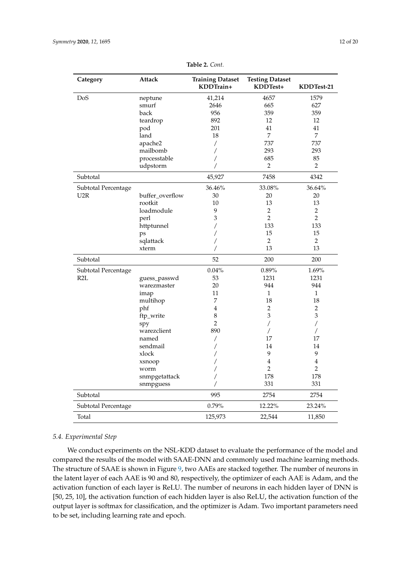<span id="page-11-0"></span>

| Category            | Attack          | <b>Training Dataset</b><br>KDDTrain+ | <b>Testing Dataset</b><br>KDDTest+ | KDDTest-21     |
|---------------------|-----------------|--------------------------------------|------------------------------------|----------------|
| DoS                 | neptune         | 41,214                               | 4657                               | 1579           |
|                     | smurf           | 2646                                 | 665                                | 627            |
|                     | back            | 956                                  | 359                                | 359            |
|                     | teardrop        | 892                                  | 12                                 | 12             |
|                     | pod             | 201                                  | 41                                 | 41             |
|                     | land            | 18                                   | 7                                  | $\overline{7}$ |
|                     | apache2         | Τ                                    | 737                                | 737            |
|                     | mailbomb        | Τ                                    | 293                                | 293            |
|                     | processtable    |                                      | 685                                | 85             |
|                     | udpstorm        | Τ                                    | $\overline{2}$                     | 2              |
| Subtotal            |                 | 45,927                               | 7458                               | 4342           |
| Subtotal Percentage |                 | 36.46%                               | 33.08%                             | 36.64%         |
| U <sub>2</sub> R    | buffer_overflow | 30                                   | 20                                 | 20             |
|                     | rootkit         | 10                                   | 13                                 | 13             |
|                     | loadmodule      | 9                                    | 2                                  | 2              |
|                     | perl            | 3                                    | $\overline{2}$                     | 2              |
|                     | httptunnel      | Τ                                    | 133                                | 133            |
|                     | ps              | Τ                                    | 15                                 | 15             |
|                     | sqlattack       | Τ                                    | 2                                  | $\overline{2}$ |
|                     | xterm           | Τ                                    | 13                                 | 13             |
| Subtotal            |                 | 52                                   | 200                                | 200            |
| Subtotal Percentage |                 | 0.04%                                | 0.89%                              | 1.69%          |
| R2L                 | guess_passwd    | 53                                   | 1231                               | 1231           |
|                     | warezmaster     | 20                                   | 944                                | 944            |
|                     | imap            | 11                                   | $\mathbf{1}$                       | $\mathbf{1}$   |
|                     | multihop        | 7                                    | 18                                 | 18             |
|                     | phf             | 4                                    | $\overline{2}$                     | $\overline{2}$ |
|                     | ftp_write       | 8                                    | 3                                  | 3              |
|                     | spy             | $\overline{2}$                       | $\sqrt{2}$                         | Τ              |
|                     | warezclient     | 890                                  | Τ                                  | Τ              |
|                     | named           | Τ                                    | 17                                 | 17             |
|                     | sendmail        | Γ                                    | 14                                 | 14             |
|                     | xlock           |                                      | 9                                  | 9              |
|                     | xsnoop          | Τ                                    | $\overline{4}$                     | $\overline{4}$ |
|                     | worm            |                                      | $\overline{2}$                     | 2              |
|                     | snmpgetattack   |                                      | 178                                | 178            |
|                     | snmpguess       |                                      | 331                                | 331            |
| Subtotal            |                 | 995                                  | 2754                               | 2754           |
| Subtotal Percentage |                 | 0.79%                                | 12.22%                             | 23.24%         |
| Total               |                 | 125,973                              | 22,544                             | 11,850         |

**Table 2.** *Cont.*

#### *5.4. Experimental Step*

We conduct experiments on the NSL-KDD dataset to evaluate the performance of the model and compared the results of the model with SAAE-DNN and commonly used machine learning methods. The structure of SAAE is shown in Figure [9,](#page-8-1) two AAEs are stacked together. The number of neurons in the latent layer of each AAE is 90 and 80, respectively, the optimizer of each AAE is Adam, and the activation function of each layer is ReLU. The number of neurons in each hidden layer of DNN is [50, 25, 10], the activation function of each hidden layer is also ReLU, the activation function of the output layer is softmax for classification, and the optimizer is Adam. Two important parameters need to be set, including learning rate and epoch.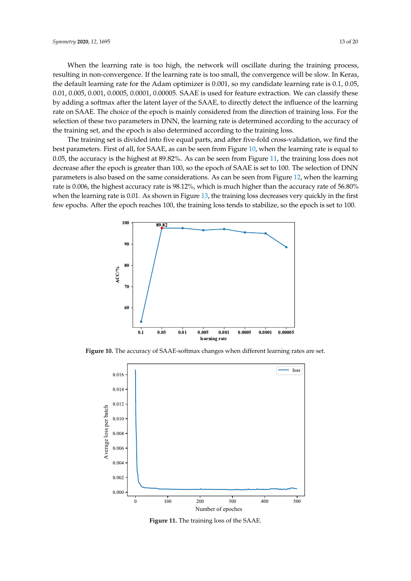When the learning rate is too high, the network will oscillate during the training process, resulting in non-convergence. If the learning rate is too small, the convergence will be slow. In Keras, the default learning rate for the Adam optimizer is 0.001, so my candidate learning rate is 0.1, 0.05, 0.01, 0.005, 0.001, 0.0005, 0.0001, 0.00005. SAAE is used for feature extraction. We can classify these by adding a softmax after the latent layer of the SAAE, to directly detect the influence of the learning rate on SAAE. The choice of the epoch is mainly considered from the direction of training loss. For the selection of these two parameters in DNN, the learning rate is determined according to the accuracy of the training set, and the epoch is also determined according to the training loss.

The training set is divided into five equal parts, and after five-fold cross-validation, we find the best parameters. First of all, for SAAE, as can be seen from Figure [10,](#page-12-0) when the learning rate is equal to 0.05, the accuracy is the highest at 89.82%. As can be seen from Figure [11,](#page-12-1) the training loss does not decrease after the epoch is greater than 100, so the epoch of SAAE is set to 100. The selection of DNN parameters is also based on the same considerations. As can be seen from Figure [12,](#page-13-0) when the learning rate is 0.006, the highest accuracy rate is 98.12%, which is much higher than the accuracy rate of 56.80% when the learning rate is 0.01. As shown in Figure [13,](#page-13-1) the training loss decreases very quickly in the first few epochs. After the epoch reaches 100, the training loss tends to stabilize, so the epoch is set to 100.

<span id="page-12-0"></span>

<span id="page-12-1"></span>**Figure 10.** The accuracy of SAAE-softmax changes when different learning rates are set.



**Figure 11.** The training loss of the SAAE.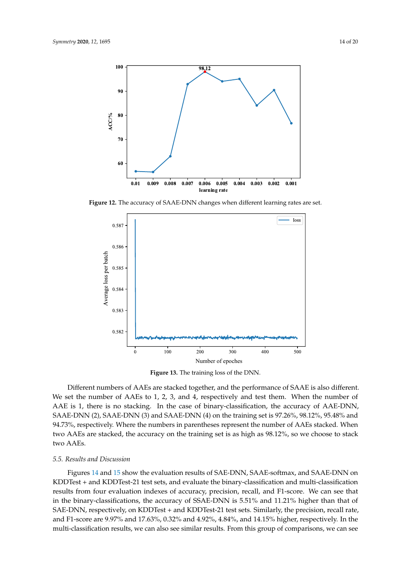<span id="page-13-0"></span>

<span id="page-13-1"></span>**Figure 12.** The accuracy of SAAE-DNN changes when different learning rates are set.



**Figure 13.** The training loss of the DNN.

Different numbers of AAEs are stacked together, and the performance of SAAE is also different. We set the number of AAEs to 1, 2, 3, and 4, respectively and test them. When the number of AAE is 1, there is no stacking. In the case of binary-classification, the accuracy of AAE-DNN, SAAE-DNN (2), SAAE-DNN (3) and SAAE-DNN (4) on the training set is 97.26%, 98.12%, 95.48% and 94.73%, respectively. Where the numbers in parentheses represent the number of AAEs stacked. When two AAEs are stacked, the accuracy on the training set is as high as 98.12%, so we choose to stack two AAEs.

#### *5.5. Results and Discussion*

Figures [14](#page-14-0) and [15](#page-14-1) show the evaluation results of SAE-DNN, SAAE-softmax, and SAAE-DNN on KDDTest + and KDDTest-21 test sets, and evaluate the binary-classification and multi-classification results from four evaluation indexes of accuracy, precision, recall, and F1-score. We can see that in the binary-classifications, the accuracy of SSAE-DNN is 5.51% and 11.21% higher than that of SAE-DNN, respectively, on KDDTest + and KDDTest-21 test sets. Similarly, the precision, recall rate, and F1-score are 9.97% and 17.63%, 0.32% and 4.92%, 4.84%, and 14.15% higher, respectively. In the multi-classification results, we can also see similar results. From this group of comparisons, we can see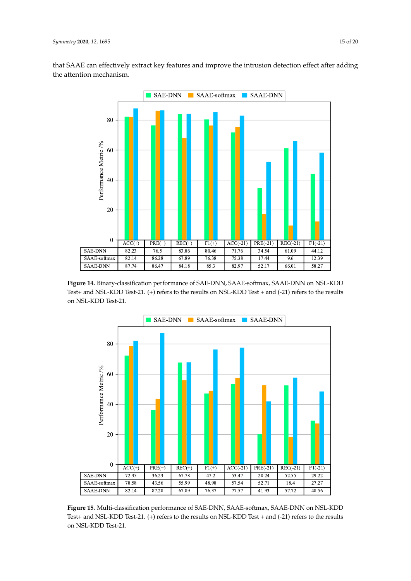<span id="page-14-0"></span>that SAAE can effectively extract key features and improve the intrusion detection effect after adding the attention mechanism.



**Figure 14.** Binary-classification performance of SAE-DNN, SAAE-softmax, SAAE-DNN on NSL-KDD Test+ and NSL-KDD Test-21. (+) refers to the results on NSL-KDD Test + and (-21) refers to the results on NSL-KDD Test-21.

<span id="page-14-1"></span>

**Figure 15.** Multi-classification performance of SAE-DNN, SAAE-softmax, SAAE-DNN on NSL-KDD Test+ and NSL-KDD Test-21. (+) refers to the results on NSL-KDD Test + and (-21) refers to the results on NSL-KDD Test-21.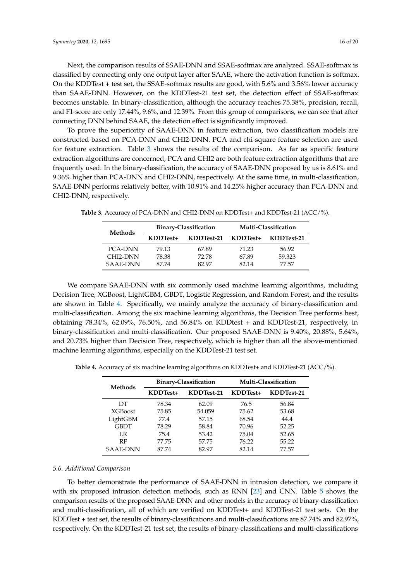Next, the comparison results of SSAE-DNN and SSAE-softmax are analyzed. SSAE-softmax is classified by connecting only one output layer after SAAE, where the activation function is softmax. On the KDDTest + test set, the SSAE-softmax results are good, with 5.6% and 3.56% lower accuracy than SAAE-DNN. However, on the KDDTest-21 test set, the detection effect of SSAE-softmax becomes unstable. In binary-classification, although the accuracy reaches 75.38%, precision, recall, and F1-score are only 17.44%, 9.6%, and 12.39%. From this group of comparisons, we can see that after connecting DNN behind SAAE, the detection effect is significantly improved.

To prove the superiority of SAAE-DNN in feature extraction, two classification models are constructed based on PCA-DNN and CHI2-DNN. PCA and chi-square feature selection are used for feature extraction. Table [3](#page-15-0) shows the results of the comparison. As far as specific feature extraction algorithms are concerned, PCA and CHI2 are both feature extraction algorithms that are frequently used. In the binary-classification, the accuracy of SAAE-DNN proposed by us is 8.61% and 9.36% higher than PCA-DNN and CHI2-DNN, respectively. At the same time, in multi-classification, SAAE-DNN performs relatively better, with 10.91% and 14.25% higher accuracy than PCA-DNN and CHI2-DNN, respectively.

| Methods         |            | <b>Binary-Classification</b> |            | Multi-Classification |  |
|-----------------|------------|------------------------------|------------|----------------------|--|
|                 | $KDDTest+$ | KDDTest-21                   | $KDDTest+$ | KDDTest-21           |  |
| PCA-DNN         | 79.13      | 67.89                        | 71.23      | 56.92                |  |
| CHI2-DNN        | 78.38      | 72.78                        | 67.89      | 59.323               |  |
| <b>SAAE-DNN</b> | 8774       | 82.97                        | 82 14      | 77.57                |  |

<span id="page-15-0"></span>**Table 3.** Accuracy of PCA-DNN and CHI2-DNN on KDDTest+ and KDDTest-21 (ACC/%).

We compare SAAE-DNN with six commonly used machine learning algorithms, including Decision Tree, XGBoost, LightGBM, GBDT, Logistic Regression, and Random Forest, and the results are shown in Table [4.](#page-15-1) Specifically, we mainly analyze the accuracy of binary-classification and multi-classification. Among the six machine learning algorithms, the Decision Tree performs best, obtaining 78.34%, 62.09%, 76.50%, and 56.84% on KDDtest + and KDDTest-21, respectively, in binary-classification and multi-classification. Our proposed SAAE-DNN is 9.40%, 20.88%, 5.64%, and 20.73% higher than Decision Tree, respectively, which is higher than all the above-mentioned machine learning algorithms, especially on the KDDTest-21 test set.

<span id="page-15-1"></span>**Table 4.** Accuracy of six machine learning algorithms on KDDTest+ and KDDTest-21 (ACC/%).

| <b>Methods</b>  | <b>Binary-Classification</b> |            | Multi-Classification |            |
|-----------------|------------------------------|------------|----------------------|------------|
|                 | $KDDTest+$                   | KDDTest-21 | KDDTest+             | KDDTest-21 |
| DT              | 78.34                        | 62.09      | 76.5                 | 56.84      |
| <b>XGBoost</b>  | 75.85                        | 54.059     | 75.62                | 53.68      |
| LightGBM        | 77.4                         | 57.15      | 68.54                | 44.4       |
| <b>GBDT</b>     | 78.29                        | 58.84      | 70.96                | 52.25      |
| LR              | 75.4                         | 53.42      | 75.04                | 52.65      |
| RF              | 77.75                        | 57.75      | 76.22                | 55.22      |
| <b>SAAE-DNN</b> | 87.74                        | 82.97      | 82.14                | 77.57      |

#### *5.6. Additional Comparison*

To better demonstrate the performance of SAAE-DNN in intrusion detection, we compare it with six proposed intrusion detection methods, such as RNN [\[23\]](#page-18-6) and CNN. Table [5](#page-16-0) shows the comparison results of the proposed SAAE-DNN and other models in the accuracy of binary-classification and multi-classification, all of which are verified on KDDTest+ and KDDTest-21 test sets. On the KDDTest + test set, the results of binary-classifications and multi-classifications are 87.74% and 82.97%, respectively. On the KDDTest-21 test set, the results of binary-classifications and multi-classifications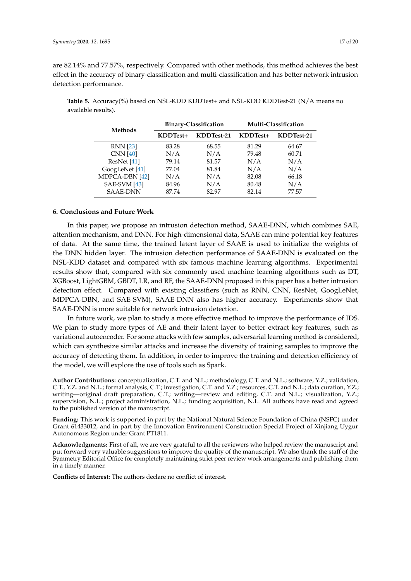are 82.14% and 77.57%, respectively. Compared with other methods, this method achieves the best effect in the accuracy of binary-classification and multi-classification and has better network intrusion detection performance.

| <b>Methods</b>            | <b>Binary-Classification</b> |            | Multi-Classification |            |
|---------------------------|------------------------------|------------|----------------------|------------|
|                           | $KDDTest+$                   | KDDTest-21 | $KDDTest+$           | KDDTest-21 |
| <b>RNN</b> [23]           | 83.28                        | 68.55      | 81.29                | 64.67      |
| CNN[40]                   | N/A                          | N/A        | 79.48                | 60.71      |
| ResNet [41]               | 79.14                        | 81.57      | N/A                  | N/A        |
| GoogLeNet <sup>[41]</sup> | 77.04                        | 81.84      | N/A                  | N/A        |
| MDPCA-DBN [42]            | N/A                          | N/A        | 82.08                | 66.18      |
| SAE-SVM [43]              | 84.96                        | N/A        | 80.48                | N/A        |
| <b>SAAE-DNN</b>           | 87.74                        | 82.97      | 82.14                | 77.57      |

<span id="page-16-0"></span>**Table 5.** Accuracy(%) based on NSL-KDD KDDTest+ and NSL-KDD KDDTest-21 (N/A means no available results).

# **6. Conclusions and Future Work**

In this paper, we propose an intrusion detection method, SAAE-DNN, which combines SAE, attention mechanism, and DNN. For high-dimensional data, SAAE can mine potential key features of data. At the same time, the trained latent layer of SAAE is used to initialize the weights of the DNN hidden layer. The intrusion detection performance of SAAE-DNN is evaluated on the NSL-KDD dataset and compared with six famous machine learning algorithms. Experimental results show that, compared with six commonly used machine learning algorithms such as DT, XGBoost, LightGBM, GBDT, LR, and RF, the SAAE-DNN proposed in this paper has a better intrusion detection effect. Compared with existing classifiers (such as RNN, CNN, ResNet, GoogLeNet, MDPCA-DBN, and SAE-SVM), SAAE-DNN also has higher accuracy. Experiments show that SAAE-DNN is more suitable for network intrusion detection.

In future work, we plan to study a more effective method to improve the performance of IDS. We plan to study more types of AE and their latent layer to better extract key features, such as variational autoencoder. For some attacks with few samples, adversarial learning method is considered, which can synthesize similar attacks and increase the diversity of training samples to improve the accuracy of detecting them. In addition, in order to improve the training and detection efficiency of the model, we will explore the use of tools such as Spark.

**Author Contributions:** conceptualization, C.T. and N.L.; methodology, C.T. and N.L.; software, Y.Z.; validation, C.T., Y.Z. and N.L.; formal analysis, C.T.; investigation, C.T. and Y.Z.; resources, C.T. and N.L.; data curation, Y.Z.; writing—original draft preparation, C.T.; writing—review and editing, C.T. and N.L.; visualization, Y.Z.; supervision, N.L.; project administration, N.L.; funding acquisition, N.L. All authors have read and agreed to the published version of the manuscript.

**Funding:** This work is supported in part by the National Natural Science Foundation of China (NSFC) under Grant 61433012, and in part by the Innovation Environment Construction Special Project of Xinjiang Uygur Autonomous Region under Grant PT1811.

**Acknowledgments:** First of all, we are very grateful to all the reviewers who helped review the manuscript and put forward very valuable suggestions to improve the quality of the manuscript. We also thank the staff of the Symmetry Editorial Office for completely maintaining strict peer review work arrangements and publishing them in a timely manner.

**Conflicts of Interest:** The authors declare no conflict of interest.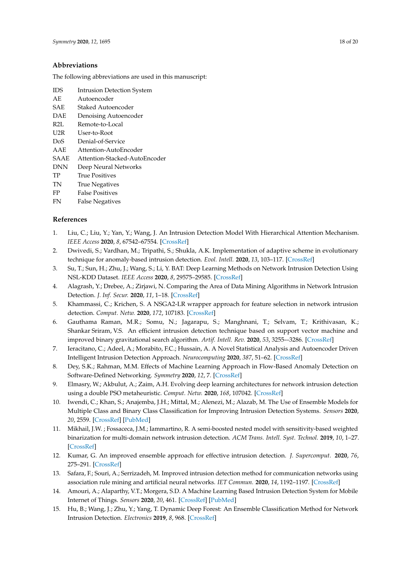### **Abbreviations**

The following abbreviations are used in this manuscript:

| IDS<br>Intrusion Detection System |
|-----------------------------------|
|-----------------------------------|

- AE Autoencoder
- SAE Staked Autoencoder
- DAE Denoising Autoencoder
- R2L Remote-to-Local
- U2R User-to-Root
- DoS Denial-of-Service
- AAE Attention-AutoEncoder
- SAAE Attention-Stacked-AutoEncoder
- DNN Deep Neural Networks
- TP True Positives
- TN True Negatives
- FP False Positives
- FN False Negatives

# **References**

- <span id="page-17-0"></span>1. Liu, C.; Liu, Y.; Yan, Y.; Wang, J. An Intrusion Detection Model With Hierarchical Attention Mechanism. *IEEE Access* **2020**, *8*, 67542–67554. [\[CrossRef\]](http://dx.doi.org/10.1109/ACCESS.2020.2983568)
- <span id="page-17-1"></span>2. Dwivedi, S.; Vardhan, M.; Tripathi, S.; Shukla, A.K. Implementation of adaptive scheme in evolutionary technique for anomaly-based intrusion detection. *Evol. Intell.* **2020**, *13*, 103–117. [\[CrossRef\]](http://dx.doi.org/10.1007/s12065-019-00293-8)
- <span id="page-17-2"></span>3. Su, T.; Sun, H.; Zhu, J.; Wang, S.; Li, Y. BAT: Deep Learning Methods on Network Intrusion Detection Using NSL-KDD Dataset. *IEEE Access* **2020**, *8*, 29575–29585. [\[CrossRef\]](http://dx.doi.org/10.1109/ACCESS.2020.2972627)
- <span id="page-17-3"></span>4. Alagrash, Y.; Drebee, A.; Zirjawi, N. Comparing the Area of Data Mining Algorithms in Network Intrusion Detection. *J. Inf. Secur.* **2020**, *11*, 1–18. [\[CrossRef\]](http://dx.doi.org/10.4236/jis.2020.111001)
- <span id="page-17-4"></span>5. Khammassi, C.; Krichen, S. A NSGA2-LR wrapper approach for feature selection in network intrusion detection. *Comput. Netw.* **2020**, *172*, 107183. [\[CrossRef\]](http://dx.doi.org/10.1016/j.comnet.2020.107183)
- <span id="page-17-5"></span>6. Gauthama Raman, M.R.; Somu, N.; Jagarapu, S.; Manghnani, T.; Selvam, T.; Krithivasan, K.; Shankar Sriram, V.S. An efficient intrusion detection technique based on support vector machine and improved binary gravitational search algorithm. *Artif. Intell. Rev.* **2020**, *53*, 3255-–3286. [\[CrossRef\]](http://dx.doi.org/10.1007/s10462-019-09762-z)
- <span id="page-17-6"></span>7. Ieracitano, C.; Adeel, A.; Morabito, F.C.; Hussain, A. A Novel Statistical Analysis and Autoencoder Driven Intelligent Intrusion Detection Approach. *Neurocomputing* **2020**, *387*, 51–62. [\[CrossRef\]](http://dx.doi.org/10.1016/j.neucom.2019.11.016)
- <span id="page-17-7"></span>8. Dey, S.K.; Rahman, M.M. Effects of Machine Learning Approach in Flow-Based Anomaly Detection on Software-Defined Networking. *Symmetry* **2020**, *12*, 7. [\[CrossRef\]](http://dx.doi.org/10.3390/sym12010007)
- <span id="page-17-8"></span>9. Elmasry, W.; Akbulut, A.; Zaim, A.H. Evolving deep learning architectures for network intrusion detection using a double PSO metaheuristic. *Comput. Netw.* **2020**, *168*, 107042. [\[CrossRef\]](http://dx.doi.org/10.1016/j.comnet.2019.107042)
- <span id="page-17-9"></span>10. Iwendi, C.; Khan, S.; Anajemba, J.H.; Mittal, M.; Alenezi, M.; Alazab, M. The Use of Ensemble Models for Multiple Class and Binary Class Classification for Improving Intrusion Detection Systems. *Sensors* **2020**, *20*, 2559. [\[CrossRef\]](http://dx.doi.org/10.3390/s20092559) [\[PubMed\]](http://www.ncbi.nlm.nih.gov/pubmed/32365937)
- <span id="page-17-10"></span>11. Mikhail, J.W. ; Fossaceca, J.M.; Iammartino, R. A semi-boosted nested model with sensitivity-based weighted binarization for multi-domain network intrusion detection. *ACM Trans. Intell. Syst. Technol.* **2019**, *10*, 1–27. [\[CrossRef\]](http://dx.doi.org/10.1145/3313778)
- <span id="page-17-11"></span>12. Kumar, G. An improved ensemble approach for effective intrusion detection. *J. Supercomput.* **2020**, *76*, 275–291. [\[CrossRef\]](http://dx.doi.org/10.1007/s11227-019-03035-w)
- <span id="page-17-12"></span>13. Safara, F.; Souri, A.; Serrizadeh, M. Improved intrusion detection method for communication networks using association rule mining and artificial neural networks. *IET Commun.* **2020**, *14*, 1192–1197. [\[CrossRef\]](http://dx.doi.org/10.1049/iet-com.2019.0502)
- <span id="page-17-13"></span>14. Amouri, A.; Alaparthy, V.T.; Morgera, S.D. A Machine Learning Based Intrusion Detection System for Mobile Internet of Things. *Sensors* **2020**, *20*, 461. [\[CrossRef\]](http://dx.doi.org/10.3390/s20020461) [\[PubMed\]](http://www.ncbi.nlm.nih.gov/pubmed/31947567)
- 15. Hu, B.; Wang, J.; Zhu, Y.; Yang, T. Dynamic Deep Forest: An Ensemble Classification Method for Network Intrusion Detection. *Electronics* **2019**, *8*, 968. [\[CrossRef\]](http://dx.doi.org/10.3390/electronics8090968)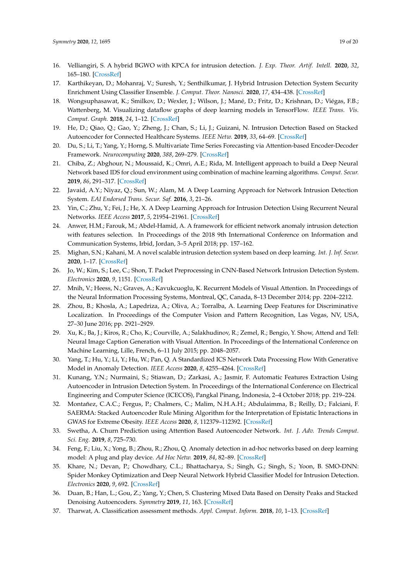- 16. Velliangiri, S. A hybrid BGWO with KPCA for intrusion detection. *J. Exp. Theor. Artif. Intell.* **2020**, *32*, 165–180. [\[CrossRef\]](http://dx.doi.org/10.1080/0952813X.2019.1647558)
- <span id="page-18-0"></span>17. Karthikeyan, D.; Mohanraj, V.; Suresh, Y.; Senthilkumar, J. Hybrid Intrusion Detection System Security Enrichment Using Classifier Ensemble. *J. Comput. Theor. Nanosci.* **2020**, *17*, 434–438. [\[CrossRef\]](http://dx.doi.org/10.1166/jctn.2020.8686)
- <span id="page-18-1"></span>18. Wongsuphasawat, K.; Smilkov, D.; Wexler, J.; Wilson, J.; Mané, D.; Fritz, D.; Krishnan, D.; Viégas, F.B.; Wattenberg, M. Visualizing dataflow graphs of deep learning models in TensorFlow. *IEEE Trans. Vis. Comput. Graph.* **2018**, *24*, 1–12. [\[CrossRef\]](http://dx.doi.org/10.1109/TVCG.2017.2744878)
- <span id="page-18-2"></span>19. He, D.; Qiao, Q.; Gao, Y.; Zheng, J.; Chan, S.; Li, J.; Guizani, N. Intrusion Detection Based on Stacked Autoencoder for Connected Healthcare Systems. *IEEE Netw.* **2019**, *33*, 64–69. [\[CrossRef\]](http://dx.doi.org/10.1109/MNET.001.1900105)
- <span id="page-18-3"></span>20. Du, S.; Li, T.; Yang, Y.; Horng, S. Multivariate Time Series Forecasting via Attention-based Encoder-Decoder Framework. *Neurocomputing* **2020**, *388*, 269–279. [\[CrossRef\]](http://dx.doi.org/10.1016/j.neucom.2019.12.118)
- <span id="page-18-4"></span>21. Chiba, Z.; Abghour, N.; Moussaid, K.; Omri, A.E.; Rida, M. Intelligent approach to build a Deep Neural Network based IDS for cloud environment using combination of machine learning algorithms. *Comput. Secur.* **2019**, *86*, 291–317. [\[CrossRef\]](http://dx.doi.org/10.1016/j.cose.2019.06.013)
- <span id="page-18-5"></span>22. Javaid, A.Y.; Niyaz, Q.; Sun, W.; Alam, M. A Deep Learning Approach for Network Intrusion Detection System. *EAI Endorsed Trans. Secur. Saf.* **2016**, *3*, 21–26.
- <span id="page-18-6"></span>23. Yin, C.; Zhu, Y.; Fei, J.; He, X. A Deep Learning Approach for Intrusion Detection Using Recurrent Neural Networks. *IEEE Access* **2017**, *5*, 21954–21961. [\[CrossRef\]](http://dx.doi.org/10.1109/ACCESS.2017.2762418)
- <span id="page-18-7"></span>24. Anwer, H.M.; Farouk, M.; Abdel-Hamid, A. A framework for efficient network anomaly intrusion detection with features selection. In Proceedings of the 2018 9th International Conference on Information and Communication Systems, Irbid, Jordan, 3–5 April 2018; pp. 157–162.
- <span id="page-18-8"></span>25. Mighan, S.N.; Kahani, M. A novel scalable intrusion detection system based on deep learning. *Int. J. Inf. Secur.* **2020**, 1–17. [\[CrossRef\]](http://dx.doi.org/10.1007/s10207-020-00508-5)
- <span id="page-18-9"></span>26. Jo, W.; Kim, S.; Lee, C.; Shon, T. Packet Preprocessing in CNN-Based Network Intrusion Detection System. *Electronics* **2020**, *9*, 1151. [\[CrossRef\]](http://dx.doi.org/10.3390/electronics9071151)
- <span id="page-18-10"></span>27. Mnih, V.; Heess, N.; Graves, A.; Kavukcuoglu, K. Recurrent Models of Visual Attention. In Proceedings of the Neural Information Processing Systems, Montreal, QC, Canada, 8–13 December 2014; pp. 2204–2212.
- <span id="page-18-11"></span>28. Zhou, B.; Khosla, A.; Lapedriza, A.; Oliva, A.; Torralba, A. Learning Deep Features for Discriminative Localization. In Proceedings of the Computer Vision and Pattern Recognition, Las Vegas, NV, USA, 27–30 June 2016; pp. 2921–2929.
- <span id="page-18-12"></span>29. Xu, K.; Ba, J.; Kiros, R.; Cho, K.; Courville, A.; Salakhudinov, R.; Zemel, R.; Bengio, Y. Show, Attend and Tell: Neural Image Caption Generation with Visual Attention. In Proceedings of the International Conference on Machine Learning, Lille, French, 6–11 July 2015; pp. 2048–2057.
- <span id="page-18-13"></span>30. Yang, T.; Hu, Y.; Li, Y.; Hu, W.; Pan, Q. A Standardized ICS Network Data Processing Flow With Generative Model in Anomaly Detection. *IEEE Access* **2020**, *8*, 4255–4264. [\[CrossRef\]](http://dx.doi.org/10.1109/ACCESS.2019.2963144)
- <span id="page-18-14"></span>31. Kunang, Y.N.; Nurmaini, S.; Stiawan, D.; Zarkasi, A.; Jasmir, F. Automatic Features Extraction Using Autoencoder in Intrusion Detection System. In Proceedings of the International Conference on Electrical Engineering and Computer Science (ICECOS), Pangkal Pinang, Indonesia, 2–4 October 2018; pp. 219–224.
- <span id="page-18-15"></span>32. Montañez, C.A.C.; Fergus, P.; Chalmers, C.; Malim, N.H.A.H.; Abdulaimma, B.; Reilly, D.; Falciani, F. SAERMA: Stacked Autoencoder Rule Mining Algorithm for the Interpretation of Epistatic Interactions in GWAS for Extreme Obesity. *IEEE Access* **2020**, *8*, 112379–112392. [\[CrossRef\]](http://dx.doi.org/10.1109/ACCESS.2020.3002923)
- <span id="page-18-16"></span>33. Swetha, A. Churn Prediction using Attention Based Autoencoder Network. *Int. J. Adv. Trends Comput. Sci. Eng.* **2019**, *8*, 725–730.
- <span id="page-18-17"></span>34. Feng, F.; Liu, X.; Yong, B.; Zhou, R.; Zhou, Q. Anomaly detection in ad-hoc networks based on deep learning model: A plug and play device. *Ad Hoc Netw.* **2019**, *84*, 82–89. [\[CrossRef\]](http://dx.doi.org/10.1016/j.adhoc.2018.09.014)
- <span id="page-18-18"></span>35. Khare, N.; Devan, P.; Chowdhary, C.L.; Bhattacharya, S.; Singh, G.; Singh, S.; Yoon, B. SMO-DNN: Spider Monkey Optimization and Deep Neural Network Hybrid Classifier Model for Intrusion Detection. *Electronics* **2020**, *9*, 692. [\[CrossRef\]](http://dx.doi.org/10.3390/electronics9040692)
- <span id="page-18-19"></span>36. Duan, B.; Han, L.; Gou, Z.; Yang, Y.; Chen, S. Clustering Mixed Data Based on Density Peaks and Stacked Denoising Autoencoders. *Symmetry* **2019**, *11*, 163. [\[CrossRef\]](http://dx.doi.org/10.3390/sym11020163)
- <span id="page-18-20"></span>37. Tharwat, A. Classification assessment methods. *Appl. Comput. Inform.* **2018**, *10*, 1–13. [\[CrossRef\]](http://dx.doi.org/10.1016/j.aci.2018.08.003)